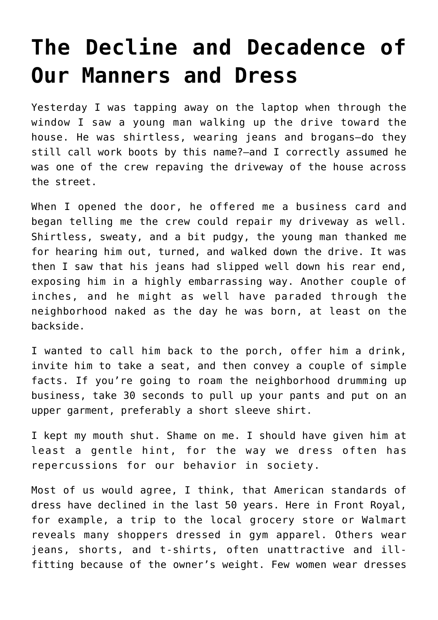## **[The Decline and Decadence of](https://intellectualtakeout.org/2021/07/the-decline-and-decadence-of-our-manners-and-dress/) [Our Manners and Dress](https://intellectualtakeout.org/2021/07/the-decline-and-decadence-of-our-manners-and-dress/)**

Yesterday I was tapping away on the laptop when through the window I saw a young man walking up the drive toward the house. He was shirtless, wearing jeans and brogans—do they still call work boots by this name?—and I correctly assumed he was one of the crew repaving the driveway of the house across the street.

When I opened the door, he offered me a business card and began telling me the crew could repair my driveway as well. Shirtless, sweaty, and a bit pudgy, the young man thanked me for hearing him out, turned, and walked down the drive. It was then I saw that his jeans had slipped well down his rear end, exposing him in a highly embarrassing way. Another couple of inches, and he might as well have paraded through the neighborhood naked as the day he was born, at least on the backside.

I wanted to call him back to the porch, offer him a drink, invite him to take a seat, and then convey a couple of simple facts. If you're going to roam the neighborhood drumming up business, take 30 seconds to pull up your pants and put on an upper garment, preferably a short sleeve shirt.

I kept my mouth shut. Shame on me. I should have given him at least a gentle hint, for the way we dress often has repercussions for our behavior in society.

Most of us would agree, I think, that American standards of dress have declined in the last 50 years. Here in Front Royal, for example, a trip to the local grocery store or Walmart reveals many shoppers dressed in gym apparel. Others wear jeans, shorts, and t-shirts, often unattractive and illfitting because of the owner's weight. Few women wear dresses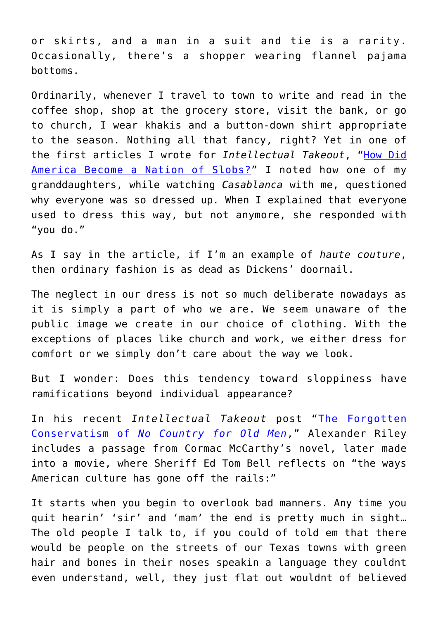or skirts, and a man in a suit and tie is a rarity. Occasionally, there's a shopper wearing flannel pajama bottoms.

Ordinarily, whenever I travel to town to write and read in the coffee shop, shop at the grocery store, visit the bank, or go to church, I wear khakis and a button-down shirt appropriate to the season. Nothing all that fancy, right? Yet in one of the first articles I wrote for *Intellectual Takeout*, ["How Did](https://www.intellectualtakeout.org/article/how-did-america-become-nation-slobs/) [America Become a Nation of Slobs?"](https://www.intellectualtakeout.org/article/how-did-america-become-nation-slobs/) I noted how one of my granddaughters, while watching *Casablanca* with me, questioned why everyone was so dressed up. When I explained that everyone used to dress this way, but not anymore, she responded with "you do."

As I say in the article, if I'm an example of *haute couture*, then ordinary fashion is as dead as Dickens' doornail.

The neglect in our dress is not so much deliberate nowadays as it is simply a part of who we are. We seem unaware of the public image we create in our choice of clothing. With the exceptions of places like church and work, we either dress for comfort or we simply don't care about the way we look.

But I wonder: Does this tendency toward sloppiness have ramifications beyond individual appearance?

In his recent *Intellectual Takeout* post "[The Forgotten](https://www.intellectualtakeout.org/the-forgotten-conservatism-of--em-no-country-for-old-men--em-/) [Conservatism of](https://www.intellectualtakeout.org/the-forgotten-conservatism-of--em-no-country-for-old-men--em-/) *[No Country for Old Men](https://www.intellectualtakeout.org/the-forgotten-conservatism-of--em-no-country-for-old-men--em-/)*," Alexander Riley includes a passage from Cormac McCarthy's novel, later made into a movie, where Sheriff Ed Tom Bell reflects on "the ways American culture has gone off the rails:"

It starts when you begin to overlook bad manners. Any time you quit hearin' 'sir' and 'mam' the end is pretty much in sight… The old people I talk to, if you could of told em that there would be people on the streets of our Texas towns with green hair and bones in their noses speakin a language they couldnt even understand, well, they just flat out wouldnt of believed